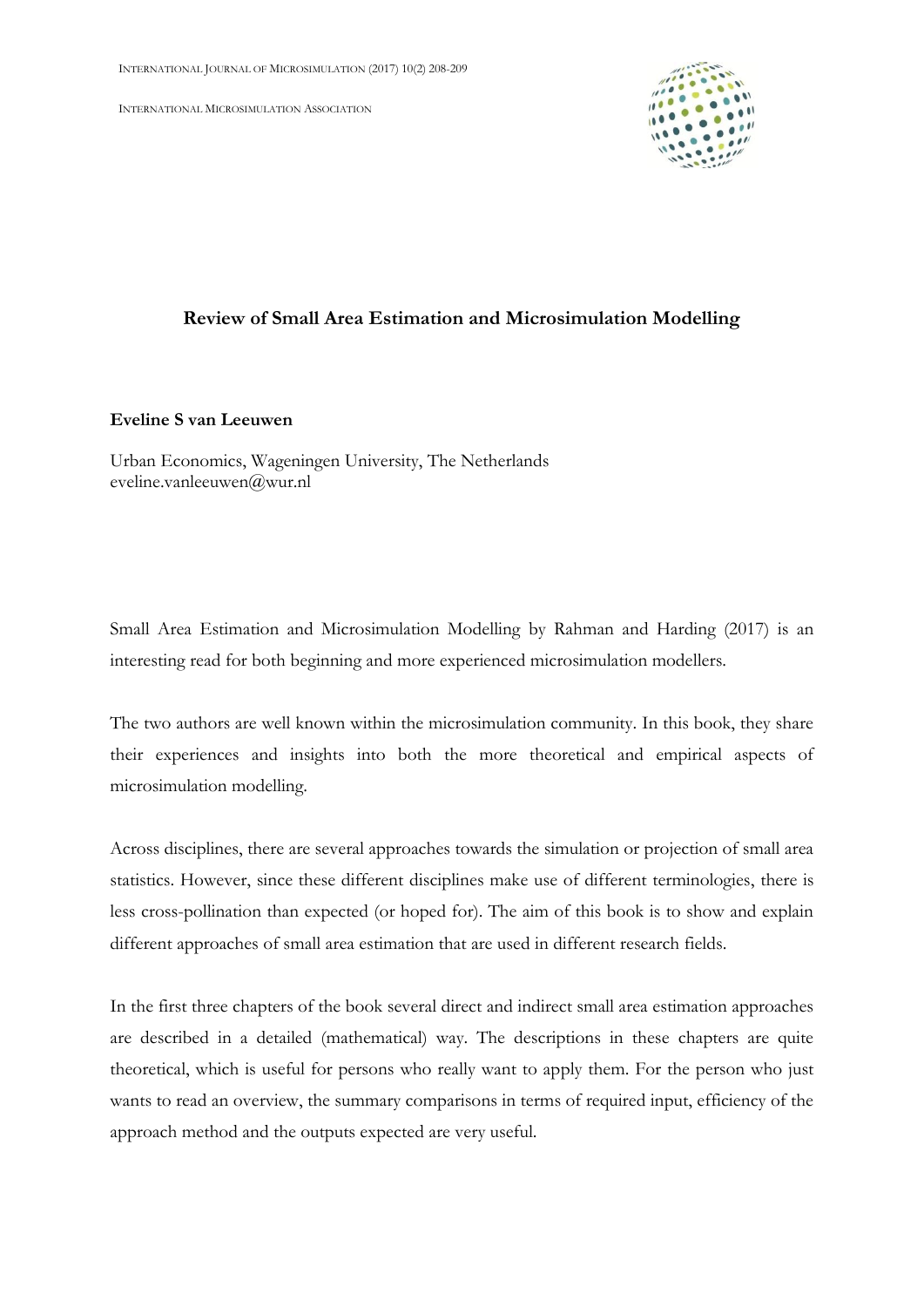INTERNATIONAL MICROSIMULATION ASSOCIATION



## **Review of Small Area Estimation and Microsimulation Modelling**

## **Eveline S van Leeuwen**

Urban Economics, Wageningen University, The Netherlands eveline.vanleeuwen@wur.nl

Small Area Estimation and Microsimulation Modelling by Rahman and Harding (2017) is an interesting read for both beginning and more experienced microsimulation modellers.

The two authors are well known within the microsimulation community. In this book, they share their experiences and insights into both the more theoretical and empirical aspects of microsimulation modelling.

Across disciplines, there are several approaches towards the simulation or projection of small area statistics. However, since these different disciplines make use of different terminologies, there is less cross-pollination than expected (or hoped for). The aim of this book is to show and explain different approaches of small area estimation that are used in different research fields.

In the first three chapters of the book several direct and indirect small area estimation approaches are described in a detailed (mathematical) way. The descriptions in these chapters are quite theoretical, which is useful for persons who really want to apply them. For the person who just wants to read an overview, the summary comparisons in terms of required input, efficiency of the approach method and the outputs expected are very useful.